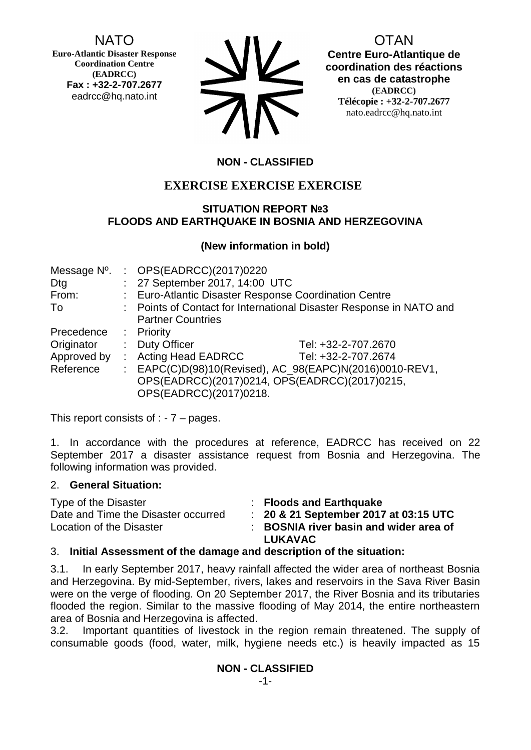NATO

**Euro-Atlantic Disaster Response Coordination Centre (EADRCC) Fax : +32-2-707.2677** eadrcc@hq.nato.int

| <b>NV</b> |
|-----------|
| <b>AR</b> |

OTAN

**Centre Euro-Atlantique de coordination des réactions en cas de catastrophe (EADRCC) Télécopie : +32-2-707.2677** nato.eadrcc@hq.nato.int

# **NON - CLASSIFIED**

# **EXERCISE EXERCISE EXERCISE**

## **SITUATION REPORT №3 FLOODS AND EARTHQUAKE IN BOSNIA AND HERZEGOVINA**

## **(New information in bold)**

| Message N°. |    | : OPS(EADRCC)(2017)0220                               |                                                                     |
|-------------|----|-------------------------------------------------------|---------------------------------------------------------------------|
| Dtg         |    | : 27 September 2017, 14:00 UTC                        |                                                                     |
| From:       |    | : Euro-Atlantic Disaster Response Coordination Centre |                                                                     |
| To          |    |                                                       | : Points of Contact for International Disaster Response in NATO and |
|             |    | <b>Partner Countries</b>                              |                                                                     |
| Precedence  |    | : Priority                                            |                                                                     |
| Originator  |    | : Duty Officer                                        | Tel: +32-2-707.2670                                                 |
| Approved by | ÷. | <b>Acting Head EADRCC</b>                             | Tel: +32-2-707.2674                                                 |
| Reference   |    |                                                       | : EAPC(C)D(98)10(Revised), AC_98(EAPC)N(2016)0010-REV1,             |
|             |    |                                                       | OPS(EADRCC)(2017)0214, OPS(EADRCC)(2017)0215,                       |
|             |    | OPS(EADRCC)(2017)0218.                                |                                                                     |

This report consists of  $: -7 -$  pages.

1. In accordance with the procedures at reference, EADRCC has received on 22 September 2017 a disaster assistance request from Bosnia and Herzegovina. The following information was provided.

## 2. **General Situation:**

Type of the Disaster : **Floods and Earthquake** Date and Time the Disaster occurred : **20 & 21 September 2017 at 03:15 UTC**

Location of the Disaster : **BOSNIA river basin and wider area of LUKAVAC**

## 3. **Initial Assessment of the damage and description of the situation:**

3.1. In early September 2017, heavy rainfall affected the wider area of northeast Bosnia and Herzegovina. By mid-September, rivers, lakes and reservoirs in the Sava River Basin were on the verge of flooding. On 20 September 2017, the River Bosnia and its tributaries flooded the region. Similar to the massive flooding of May 2014, the entire northeastern area of Bosnia and Herzegovina is affected.

3.2. Important quantities of livestock in the region remain threatened. The supply of consumable goods (food, water, milk, hygiene needs etc.) is heavily impacted as 15

## **NON - CLASSIFIED**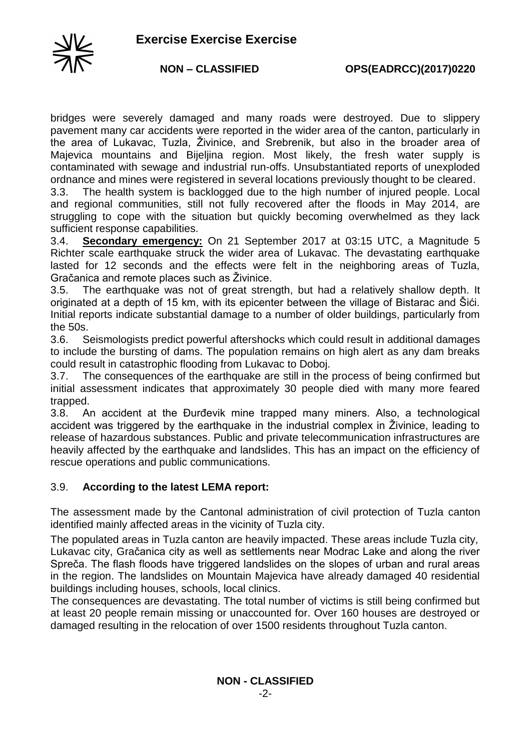

bridges were severely damaged and many roads were destroyed. Due to slippery pavement many car accidents were reported in the wider area of the canton, particularly in the area of Lukavac, Tuzla, Živinice, and Srebrenik, but also in the broader area of Majevica mountains and Bijeljina region. Most likely, the fresh water supply is contaminated with sewage and industrial run-offs. Unsubstantiated reports of unexploded ordnance and mines were registered in several locations previously thought to be cleared.

3.3. The health system is backlogged due to the high number of injured people. Local and regional communities, still not fully recovered after the floods in May 2014, are struggling to cope with the situation but quickly becoming overwhelmed as they lack sufficient response capabilities.

3.4. **Secondary emergency:** On 21 September 2017 at 03:15 UTC, a Magnitude 5 Richter scale earthquake struck the wider area of Lukavac. The devastating earthquake lasted for 12 seconds and the effects were felt in the neighboring areas of Tuzla, Gračanica and remote places such as Živinice.

3.5. The earthquake was not of great strength, but had a relatively shallow depth. It originated at a depth of 15 km, with its epicenter between the village of Bistarac and Šići. Initial reports indicate substantial damage to a number of older buildings, particularly from the 50s.

3.6. Seismologists predict powerful aftershocks which could result in additional damages to include the bursting of dams. The population remains on high alert as any dam breaks could result in catastrophic flooding from Lukavac to Doboj.

3.7. The consequences of the earthquake are still in the process of being confirmed but initial assessment indicates that approximately 30 people died with many more feared trapped.

3.8. An accident at the Đurđevik mine trapped many miners. Also, a technological accident was triggered by the earthquake in the industrial complex in Živinice, leading to release of hazardous substances. Public and private telecommunication infrastructures are heavily affected by the earthquake and landslides. This has an impact on the efficiency of rescue operations and public communications.

## 3.9. **According to the latest LEMA report:**

The assessment made by the Cantonal administration of civil protection of Tuzla canton identified mainly affected areas in the vicinity of Tuzla city.

The populated areas in Tuzla canton are heavily impacted. These areas include Tuzla city, Lukavac city, Gračanica city as well as settlements near Modrac Lake and along the river Spreča. The flash floods have triggered landslides on the slopes of urban and rural areas in the region. The landslides on Mountain Majevica have already damaged 40 residential buildings including houses, schools, local clinics.

The consequences are devastating. The total number of victims is still being confirmed but at least 20 people remain missing or unaccounted for. Over 160 houses are destroyed or damaged resulting in the relocation of over 1500 residents throughout Tuzla canton.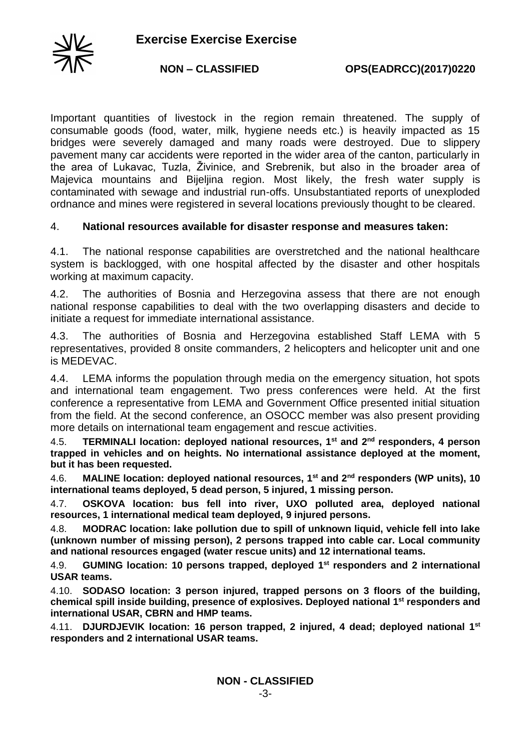

Important quantities of livestock in the region remain threatened. The supply of consumable goods (food, water, milk, hygiene needs etc.) is heavily impacted as 15 bridges were severely damaged and many roads were destroyed. Due to slippery pavement many car accidents were reported in the wider area of the canton, particularly in the area of Lukavac, Tuzla, Živinice, and Srebrenik, but also in the broader area of Majevica mountains and Bijeljina region. Most likely, the fresh water supply is contaminated with sewage and industrial run-offs. Unsubstantiated reports of unexploded ordnance and mines were registered in several locations previously thought to be cleared.

### 4. **National resources available for disaster response and measures taken:**

4.1. The national response capabilities are overstretched and the national healthcare system is backlogged, with one hospital affected by the disaster and other hospitals working at maximum capacity.

4.2. The authorities of Bosnia and Herzegovina assess that there are not enough national response capabilities to deal with the two overlapping disasters and decide to initiate a request for immediate international assistance.

4.3. The authorities of Bosnia and Herzegovina established Staff LEMA with 5 representatives, provided 8 onsite commanders, 2 helicopters and helicopter unit and one is MEDEVAC.

4.4. LEMA informs the population through media on the emergency situation, hot spots and international team engagement. Two press conferences were held. At the first conference a representative from LEMA and Government Office presented initial situation from the field. At the second conference, an OSOCC member was also present providing more details on international team engagement and rescue activities.

4.5. **TERMINALI location: deployed national resources, 1st and 2nd responders, 4 person trapped in vehicles and on heights. No international assistance deployed at the moment, but it has been requested.** 

4.6. **MALINE location: deployed national resources, 1st and 2nd responders (WP units), 10 international teams deployed, 5 dead person, 5 injured, 1 missing person.**

4.7. **OSKOVA location: bus fell into river, UXO polluted area, deployed national resources, 1 international medical team deployed, 9 injured persons.**

4.8. **MODRAC location: lake pollution due to spill of unknown liquid, vehicle fell into lake (unknown number of missing person), 2 persons trapped into cable car. Local community and national resources engaged (water rescue units) and 12 international teams.** 

4.9. **GUMING location: 10 persons trapped, deployed 1st responders and 2 international USAR teams.** 

4.10. **SODASO location: 3 person injured, trapped persons on 3 floors of the building, chemical spill inside building, presence of explosives. Deployed national 1 st responders and international USAR, CBRN and HMP teams.** 

4.11. **DJURDJEVIK location: 16 person trapped, 2 injured, 4 dead; deployed national 1st responders and 2 international USAR teams.**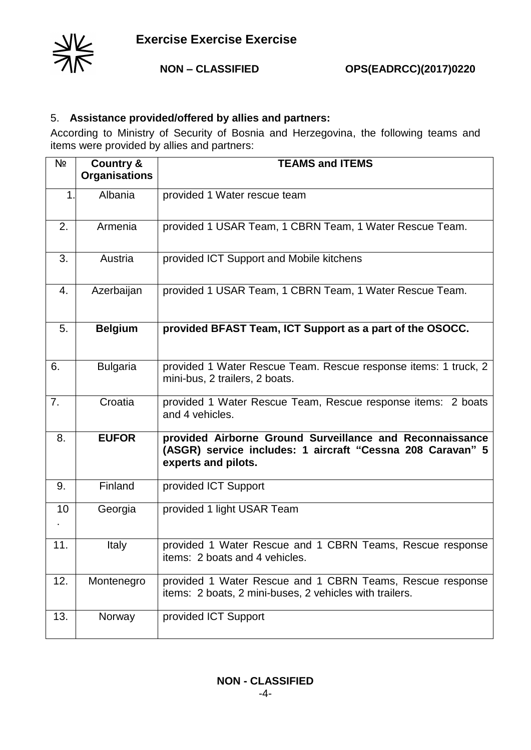

## 5. **Assistance provided/offered by allies and partners:**

According to Ministry of Security of Bosnia and Herzegovina, the following teams and items were provided by allies and partners:

| Nº  | <b>Country &amp;</b><br><b>Organisations</b> | <b>TEAMS and ITEMS</b>                                                                                                                        |
|-----|----------------------------------------------|-----------------------------------------------------------------------------------------------------------------------------------------------|
| 1.  | Albania                                      | provided 1 Water rescue team                                                                                                                  |
| 2.  | Armenia                                      | provided 1 USAR Team, 1 CBRN Team, 1 Water Rescue Team.                                                                                       |
| 3.  | Austria                                      | provided ICT Support and Mobile kitchens                                                                                                      |
| 4.  | Azerbaijan                                   | provided 1 USAR Team, 1 CBRN Team, 1 Water Rescue Team.                                                                                       |
| 5.  | <b>Belgium</b>                               | provided BFAST Team, ICT Support as a part of the OSOCC.                                                                                      |
| 6.  | <b>Bulgaria</b>                              | provided 1 Water Rescue Team. Rescue response items: 1 truck, 2<br>mini-bus, 2 trailers, 2 boats.                                             |
| 7.  | Croatia                                      | provided 1 Water Rescue Team, Rescue response items: 2 boats<br>and 4 vehicles.                                                               |
| 8.  | <b>EUFOR</b>                                 | provided Airborne Ground Surveillance and Reconnaissance<br>(ASGR) service includes: 1 aircraft "Cessna 208 Caravan" 5<br>experts and pilots. |
| 9.  | Finland                                      | provided ICT Support                                                                                                                          |
| 10  | Georgia                                      | provided 1 light USAR Team                                                                                                                    |
| 11. | Italy                                        | provided 1 Water Rescue and 1 CBRN Teams, Rescue response<br>items: 2 boats and 4 vehicles.                                                   |
| 12. | Montenegro                                   | provided 1 Water Rescue and 1 CBRN Teams, Rescue response<br>items: 2 boats, 2 mini-buses, 2 vehicles with trailers.                          |
| 13. | Norway                                       | provided ICT Support                                                                                                                          |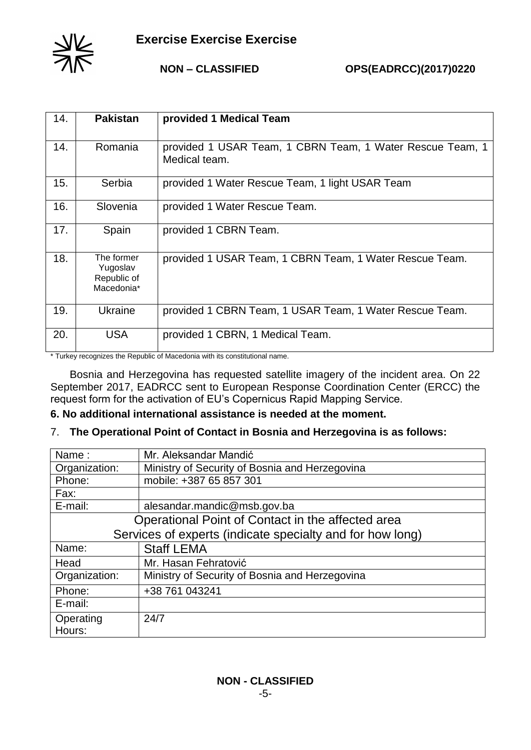

**NON – CLASSIFIED OPS(EADRCC)(2017)0220**

| 14. | <b>Pakistan</b>                                     | provided 1 Medical Team                                                    |
|-----|-----------------------------------------------------|----------------------------------------------------------------------------|
| 14. | Romania                                             | provided 1 USAR Team, 1 CBRN Team, 1 Water Rescue Team, 1<br>Medical team. |
| 15. | Serbia                                              | provided 1 Water Rescue Team, 1 light USAR Team                            |
| 16. | Slovenia                                            | provided 1 Water Rescue Team.                                              |
| 17. | Spain                                               | provided 1 CBRN Team.                                                      |
| 18. | The former<br>Yugoslav<br>Republic of<br>Macedonia* | provided 1 USAR Team, 1 CBRN Team, 1 Water Rescue Team.                    |
| 19. | Ukraine                                             | provided 1 CBRN Team, 1 USAR Team, 1 Water Rescue Team.                    |
| 20. | <b>USA</b>                                          | provided 1 CBRN, 1 Medical Team.                                           |

\* Turkey recognizes the Republic of Macedonia with its constitutional name.

Bosnia and Herzegovina has requested satellite imagery of the incident area. On 22 September 2017, EADRCC sent to European Response Coordination Center (ERCC) the request form for the activation of EU's Copernicus Rapid Mapping Service.

#### **6. No additional international assistance is needed at the moment.**

#### 7. **The Operational Point of Contact in Bosnia and Herzegovina is as follows:**

| Name:                                                     | Mr. Aleksandar Mandić                          |  |
|-----------------------------------------------------------|------------------------------------------------|--|
| Organization:                                             | Ministry of Security of Bosnia and Herzegovina |  |
| Phone:                                                    | mobile: +387 65 857 301                        |  |
| Fax:                                                      |                                                |  |
| E-mail:                                                   | alesandar.mandic@msb.gov.ba                    |  |
| Operational Point of Contact in the affected area         |                                                |  |
| Services of experts (indicate specialty and for how long) |                                                |  |
| Name:                                                     | <b>Staff LEMA</b>                              |  |
| Head                                                      | Mr. Hasan Fehratović                           |  |
| Organization:                                             | Ministry of Security of Bosnia and Herzegovina |  |
| Phone:                                                    | +38 761 043241                                 |  |
| E-mail:                                                   |                                                |  |
| Operating                                                 | 24/7                                           |  |
| Hours:                                                    |                                                |  |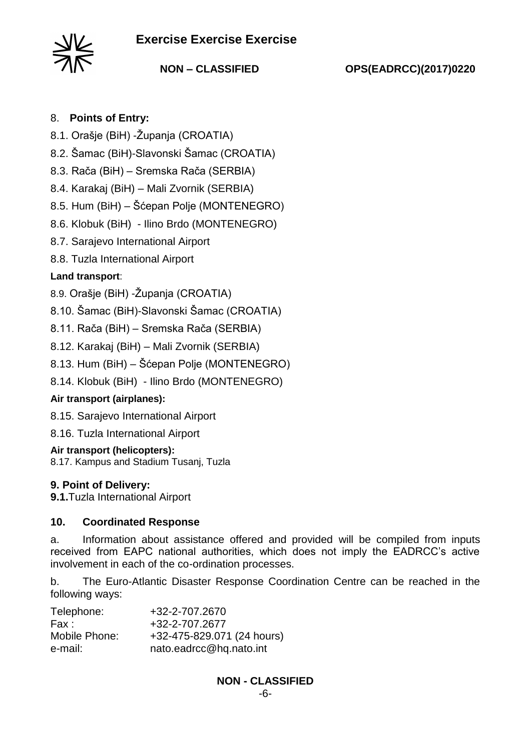# **Exercise Exercise Exercise**



**NON – CLASSIFIED OPS(EADRCC)(2017)0220**

## 8. **Points of Entry:**

- 8.1. Orašje (BiH) -Županja (CROATIA)
- 8.2. Šamac (BiH)-Slavonski Šamac (CROATIA)
- 8.3. Rača (BiH) Sremska Rača (SERBIA)
- 8.4. Karakaj (BiH) Mali Zvornik (SERBIA)

8.5. Hum (BiH) – Šćepan Polje (MONTENEGRO)

8.6. Klobuk (BiH) - Ilino Brdo (MONTENEGRO)

8.7. Sarajevo International Airport

8.8. Tuzla International Airport

## **Land transport**:

8.9. Orašje (BiH) -Županja (CROATIA)

8.10. Šamac (BiH)-Slavonski Šamac (CROATIA)

8.11. Rača (BiH) – Sremska Rača (SERBIA)

8.12. Karakaj (BiH) – Mali Zvornik (SERBIA)

8.13. Hum (BiH) – Šćepan Polje (MONTENEGRO)

8.14. Klobuk (BiH) - Ilino Brdo (MONTENEGRO)

## **Air transport (airplanes):**

8.15. Sarajevo International Airport

8.16. Tuzla International Airport

## **Air transport (helicopters):**

8.17. Kampus and Stadium Tusanj, Tuzla

#### **9. Point of Delivery:**

**9.1.**Tuzla International Airport

## **10. Coordinated Response**

a. Information about assistance offered and provided will be compiled from inputs received from EAPC national authorities, which does not imply the EADRCC's active involvement in each of the co-ordination processes.

b. The Euro-Atlantic Disaster Response Coordination Centre can be reached in the following ways:

| Telephone:    | +32-2-707.2670             |
|---------------|----------------------------|
| Fax :         | +32-2-707.2677             |
| Mobile Phone: | +32-475-829.071 (24 hours) |
| e-mail:       | nato.eadrcc@hq.nato.int    |